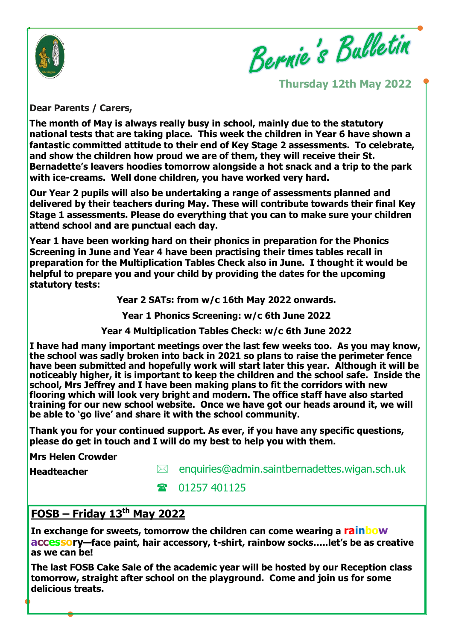

Bernie's Bulletin

**Thursday 12th May 2022**

**Dear Parents / Carers,** 

**The month of May is always really busy in school, mainly due to the statutory national tests that are taking place. This week the children in Year 6 have shown a fantastic committed attitude to their end of Key Stage 2 assessments. To celebrate, and show the children how proud we are of them, they will receive their St. Bernadette's leavers hoodies tomorrow alongside a hot snack and a trip to the park with ice-creams. Well done children, you have worked very hard.**

**Our Year 2 pupils will also be undertaking a range of assessments planned and delivered by their teachers during May. These will contribute towards their final Key Stage 1 assessments. Please do everything that you can to make sure your children attend school and are punctual each day.**

**Year 1 have been working hard on their phonics in preparation for the Phonics Screening in June and Year 4 have been practising their times tables recall in preparation for the Multiplication Tables Check also in June. I thought it would be helpful to prepare you and your child by providing the dates for the upcoming statutory tests:**

**Year 2 SATs: from w/c 16th May 2022 onwards.**

**Year 1 Phonics Screening: w/c 6th June 2022**

**Year 4 Multiplication Tables Check: w/c 6th June 2022**

**I have had many important meetings over the last few weeks too. As you may know, the school was sadly broken into back in 2021 so plans to raise the perimeter fence have been submitted and hopefully work will start later this year. Although it will be noticeably higher, it is important to keep the children and the school safe. Inside the school, Mrs Jeffrey and I have been making plans to fit the corridors with new flooring which will look very bright and modern. The office staff have also started training for our new school website. Once we have got our heads around it, we will be able to 'go live' and share it with the school community.**

**Thank you for your continued support. As ever, if you have any specific questions, please do get in touch and I will do my best to help you with them.**

**Mrs Helen Crowder**

**Headteacher**

 $\boxtimes$  enquiries@admin.saintbernadettes.wigan.sch.uk

**1257 401125** 

# **FOSB – Friday 13th May 2022**

**In exchange for sweets, tomorrow the children can come wearing a rainbow accessory—face paint, hair accessory, t-shirt, rainbow socks…..let's be as creative as we can be!**

**The last FOSB Cake Sale of the academic year will be hosted by our Reception class tomorrow, straight after school on the playground. Come and join us for some delicious treats.**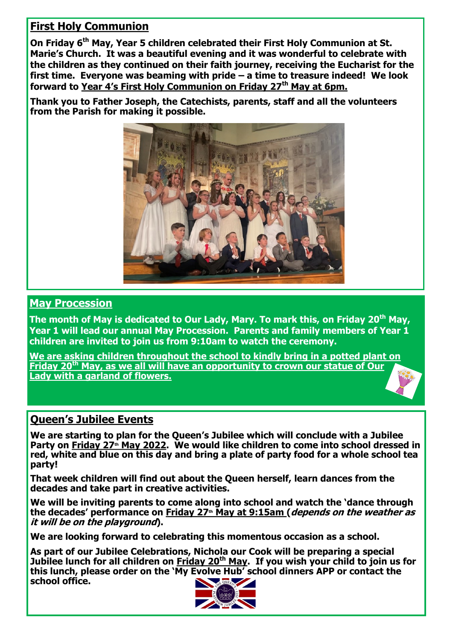# **First Holy Communion**

**On Friday 6th May, Year 5 children celebrated their First Holy Communion at St. Marie's Church. It was a beautiful evening and it was wonderful to celebrate with the children as they continued on their faith journey, receiving the Eucharist for the first time. Everyone was beaming with pride – a time to treasure indeed! We look forward to Year 4's First Holy Communion on Friday 27th May at 6pm.**

**Thank you to Father Joseph, the Catechists, parents, staff and all the volunteers from the Parish for making it possible.**



# **May Procession**

**The month of May is dedicated to Our Lady, Mary. To mark this, on Friday 20th May, Year 1 will lead our annual May Procession. Parents and family members of Year 1 children are invited to join us from 9:10am to watch the ceremony.** 

**We are asking children throughout the school to kindly bring in a potted plant on Friday 20th May, as we all will have an opportunity to crown our statue of Our Lady with a garland of flowers.**

# **Queen's Jubilee Events**

**We are starting to plan for the Queen's Jubilee which will conclude with a Jubilee Party on Friday 27th May 2022. We would like children to come into school dressed in red, white and blue on this day and bring a plate of party food for a whole school tea party!**

**That week children will find out about the Queen herself, learn dances from the decades and take part in creative activities.** 

**We will be inviting parents to come along into school and watch the 'dance through the decades' performance on Friday 27th May at 9:15am (depends on the weather as it will be on the playground).** 

**We are looking forward to celebrating this momentous occasion as a school.**

**As part of our Jubilee Celebrations, Nichola our Cook will be preparing a special Jubilee lunch for all children on Friday 20th May. If you wish your child to join us for this lunch, please order on the 'My Evolve Hub' school dinners APP or contact the school office.**

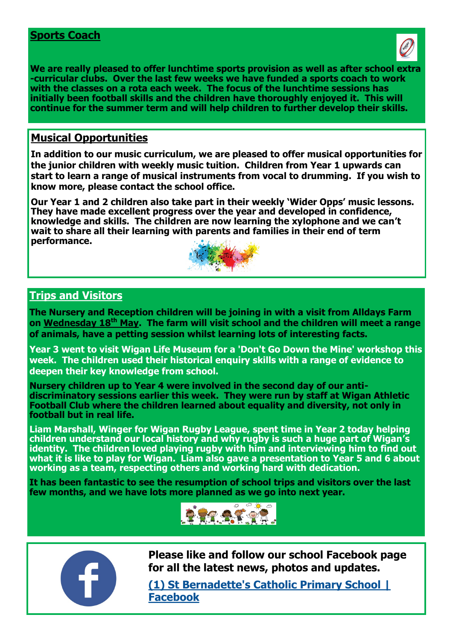#### **Sports Coach**



**We are really pleased to offer lunchtime sports provision as well as after school extra -curricular clubs. Over the last few weeks we have funded a sports coach to work with the classes on a rota each week. The focus of the lunchtime sessions has initially been football skills and the children have thoroughly enjoyed it. This will continue for the summer term and will help children to further develop their skills.**

## **Musical Opportunities**

**In addition to our music curriculum, we are pleased to offer musical opportunities for the junior children with weekly music tuition. Children from Year 1 upwards can start to learn a range of musical instruments from vocal to drumming. If you wish to know more, please contact the school office.**

**Our Year 1 and 2 children also take part in their weekly 'Wider Opps' music lessons. They have made excellent progress over the year and developed in confidence, knowledge and skills. The children are now learning the xylophone and we can't wait to share all their learning with parents and families in their end of term performance.** 



#### **Trips and Visitors**

**The Nursery and Reception children will be joining in with a visit from Alldays Farm on Wednesday 18th May. The farm will visit school and the children will meet a range of animals, have a petting session whilst learning lots of interesting facts.**

**Year 3 went to visit Wigan Life Museum for a 'Don't Go Down the Mine' workshop this week. The children used their historical enquiry skills with a range of evidence to deepen their key knowledge from school.**

**Nursery children up to Year 4 were involved in the second day of our antidiscriminatory sessions earlier this week. They were run by staff at Wigan Athletic Football Club where the children learned about equality and diversity, not only in football but in real life.**

**Liam Marshall, Winger for Wigan Rugby League, spent time in Year 2 today helping children understand our local history and why rugby is such a huge part of Wigan's identity. The children loved playing rugby with him and interviewing him to find out what it is like to play for Wigan. Liam also gave a presentation to Year 5 and 6 about working as a team, respecting others and working hard with dedication.**

**It has been fantastic to see the resumption of school trips and visitors over the last few months, and we have lots more planned as we go into next year.**





**Please like and follow our school Facebook page for all the latest news, photos and updates.**

**[\(1\) St Bernadette's Catholic Primary School |](https://www.facebook.com/St-Bernadettes-Catholic-Primary-School-101091841847126)  [Facebook](https://www.facebook.com/St-Bernadettes-Catholic-Primary-School-101091841847126)**